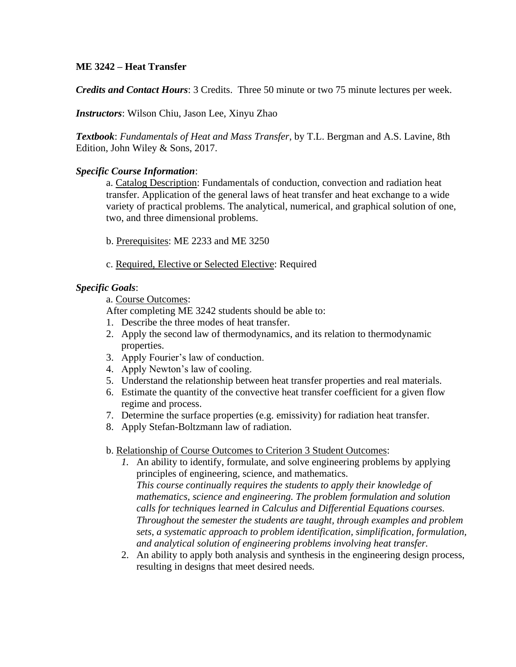## **ME 3242 – Heat Transfer**

*Credits and Contact Hours*: 3 Credits. Three 50 minute or two 75 minute lectures per week.

*Instructors*: Wilson Chiu, Jason Lee, Xinyu Zhao

*Textbook*: *Fundamentals of Heat and Mass Transfer*, by T.L. Bergman and A.S. Lavine, 8th Edition, John Wiley & Sons, 2017.

### *Specific Course Information*:

a. Catalog Description: Fundamentals of conduction, convection and radiation heat transfer. Application of the general laws of heat transfer and heat exchange to a wide variety of practical problems. The analytical, numerical, and graphical solution of one, two, and three dimensional problems.

- b. Prerequisites: ME 2233 and ME 3250
- c. Required, Elective or Selected Elective: Required

### *Specific Goals*:

a. Course Outcomes:

After completing ME 3242 students should be able to:

- 1. Describe the three modes of heat transfer.
- 2. Apply the second law of thermodynamics, and its relation to thermodynamic properties.
- 3. Apply Fourier's law of conduction.
- 4. Apply Newton's law of cooling.
- 5. Understand the relationship between heat transfer properties and real materials.
- 6. Estimate the quantity of the convective heat transfer coefficient for a given flow regime and process.
- 7. Determine the surface properties (e.g. emissivity) for radiation heat transfer.
- 8. Apply Stefan-Boltzmann law of radiation.

#### b. Relationship of Course Outcomes to Criterion 3 Student Outcomes:

- *1.* An ability to identify, formulate, and solve engineering problems by applying principles of engineering, science, and mathematics. *This course continually requires the students to apply their knowledge of mathematics, science and engineering. The problem formulation and solution calls for techniques learned in Calculus and Differential Equations courses. Throughout the semester the students are taught, through examples and problem sets, a systematic approach to problem identification, simplification, formulation, and analytical solution of engineering problems involving heat transfer.*
- 2. An ability to apply both analysis and synthesis in the engineering design process, resulting in designs that meet desired needs*.*